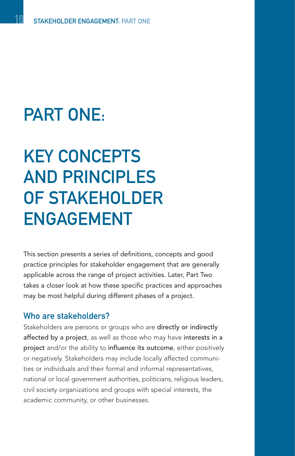## PART ONE:

## KEY CONCEPTS AND PRINCIPLES OF STAKEHOLDER ENGAGEMENT

This section presents a series of definitions, concepts and good practice principles for stakeholder engagement that are generally applicable across the range of project activities. Later, Part Two takes a closer look at how these specific practices and approaches may be most helpful during different phases of a project.

## Who are stakeholders?

Stakeholders are persons or groups who are directly or indirectly affected by a project, as well as those who may have interests in a project and/or the ability to influence its outcome, either positively or negatively. Stakeholders may include locally affected communities or individuals and their formal and informal representatives, national or local government authorities, politicians, religious leaders, civil society organizations and groups with special interests, the academic community, or other businesses.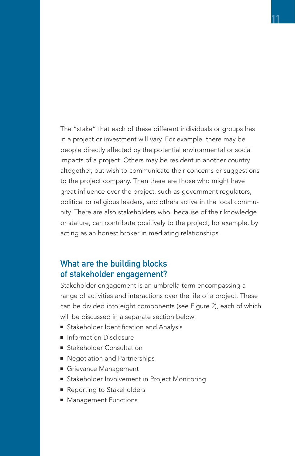The "stake" that each of these different individuals or groups has in a project or investment will vary. For example, there may be people directly affected by the potential environmental or social impacts of a project. Others may be resident in another country altogether, but wish to communicate their concerns or suggestions to the project company. Then there are those who might have great influence over the project, such as government regulators, political or religious leaders, and others active in the local community. There are also stakeholders who, because of their knowledge or stature, can contribute positively to the project, for example, by acting as an honest broker in mediating relationships.

## What are the building blocks of stakeholder engagement?

Stakeholder engagement is an umbrella term encompassing a range of activities and interactions over the life of a project. These can be divided into eight components (see Figure 2), each of which will be discussed in a separate section below:

- Stakeholder Identification and Analysis
- Information Disclosure
- Stakeholder Consultation
- Negotiation and Partnerships
- Grievance Management
- Stakeholder Involvement in Project Monitoring
- Reporting to Stakeholders
- Management Functions